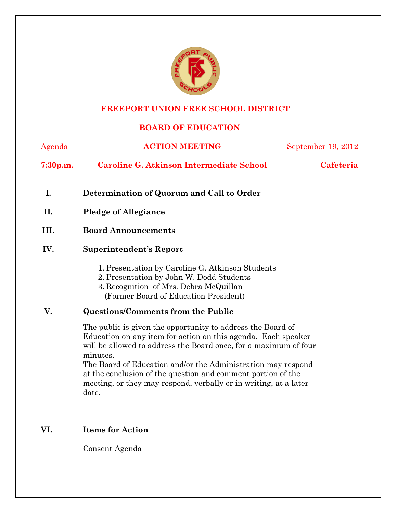

# **FREEPORT UNION FREE SCHOOL DISTRICT**

## **BOARD OF EDUCATION**

| Agenda               | <b>ACTION MEETING</b>                                                                                                                                                                                                                                                                                                                                                                                                     | September 19, 2012 |  |  |
|----------------------|---------------------------------------------------------------------------------------------------------------------------------------------------------------------------------------------------------------------------------------------------------------------------------------------------------------------------------------------------------------------------------------------------------------------------|--------------------|--|--|
| 7:30 <sub>p.m.</sub> | <b>Caroline G. Atkinson Intermediate School</b>                                                                                                                                                                                                                                                                                                                                                                           | Cafeteria          |  |  |
| I.                   | Determination of Quorum and Call to Order                                                                                                                                                                                                                                                                                                                                                                                 |                    |  |  |
| II.                  | <b>Pledge of Allegiance</b>                                                                                                                                                                                                                                                                                                                                                                                               |                    |  |  |
| III.                 | <b>Board Announcements</b>                                                                                                                                                                                                                                                                                                                                                                                                |                    |  |  |
| IV.                  | Superintendent's Report                                                                                                                                                                                                                                                                                                                                                                                                   |                    |  |  |
|                      | 1. Presentation by Caroline G. Atkinson Students<br>2. Presentation by John W. Dodd Students<br>3. Recognition of Mrs. Debra McQuillan<br>(Former Board of Education President)                                                                                                                                                                                                                                           |                    |  |  |
| V.                   | <b>Questions/Comments from the Public</b>                                                                                                                                                                                                                                                                                                                                                                                 |                    |  |  |
|                      | The public is given the opportunity to address the Board of<br>Education on any item for action on this agenda. Each speaker<br>will be allowed to address the Board once, for a maximum of four<br>minutes.<br>The Board of Education and/or the Administration may respond<br>at the conclusion of the question and comment portion of the<br>meeting, or they may respond, verbally or in writing, at a later<br>date. |                    |  |  |

# **VI. Items for Action**

Consent Agenda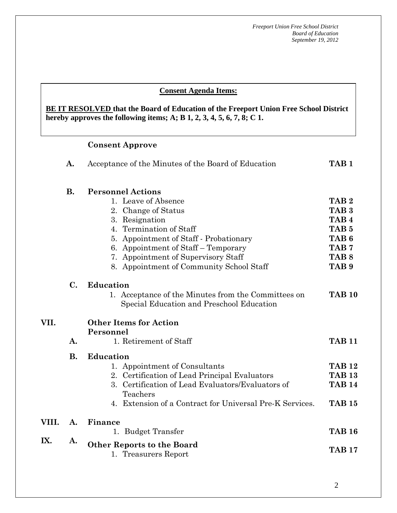#### **AA. Consent - Approve Consent Agenda Items:**

hereby approves the following items; A; B  $1, 2, 3, 4, 5, 6, 7, 8; C$  1. **BE IT RESOLVED that the Board of Education of the Freeport Union Free School District** 

# **Consent Approve**

|       | A.             | Acceptance of the Minutes of the Board of Education                                              | TAB <sub>1</sub> |
|-------|----------------|--------------------------------------------------------------------------------------------------|------------------|
|       | <b>B.</b>      | <b>Personnel Actions</b>                                                                         |                  |
|       |                | 1. Leave of Absence                                                                              | TAB <sub>2</sub> |
|       |                | 2. Change of Status                                                                              | TAB <sub>3</sub> |
|       |                | 3. Resignation                                                                                   | TAB <sub>4</sub> |
|       |                | Termination of Staff<br>4.                                                                       | TAB <sub>5</sub> |
|       |                | 5. Appointment of Staff - Probationary                                                           | TAB <sub>6</sub> |
|       |                | 6. Appointment of Staff – Temporary                                                              | TAB <sub>7</sub> |
|       |                | 7. Appointment of Supervisory Staff                                                              | TAB <sub>8</sub> |
|       |                | 8. Appointment of Community School Staff                                                         | TAB <sub>9</sub> |
|       | $\mathbf{C}$ . | <b>Education</b>                                                                                 |                  |
|       |                | 1. Acceptance of the Minutes from the Committees on<br>Special Education and Preschool Education | <b>TAB 10</b>    |
| VII.  |                | <b>Other Items for Action</b><br>Personnel                                                       |                  |
|       | A.             | 1. Retirement of Staff                                                                           | <b>TAB 11</b>    |
|       | <b>B.</b>      | <b>Education</b>                                                                                 |                  |
|       |                | 1. Appointment of Consultants                                                                    | <b>TAB 12</b>    |
|       |                | 2. Certification of Lead Principal Evaluators                                                    | <b>TAB 13</b>    |
|       |                | Certification of Lead Evaluators/Evaluators of<br>3.<br>Teachers                                 | <b>TAB 14</b>    |
|       |                | 4. Extension of a Contract for Universal Pre-K Services.                                         | <b>TAB 15</b>    |
| VIII. | A.             | Finance                                                                                          |                  |
|       |                | <b>Budget Transfer</b><br>1.                                                                     | <b>TAB 16</b>    |
| IX.   | A.             | <b>Other Reports to the Board</b><br>1. Treasurers Report                                        | <b>TAB 17</b>    |
|       |                |                                                                                                  |                  |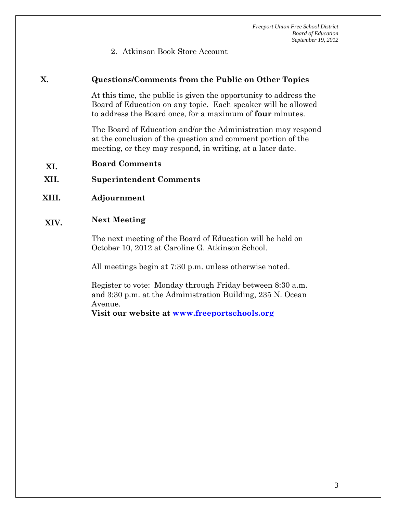2. Atkinson Book Store Account

#### **X. Questions/Comments from the Public on Other Topics**

At this time, the public is given the opportunity to address the Board of Education on any topic. Each speaker will be allowed to address the Board once, for a maximum of **four** minutes.

The Board of Education and/or the Administration may respond at the conclusion of the question and comment portion of the meeting, or they may respond, in writing, at a later date.

- **XI. Board Comments**
- **XII. Superintendent Comments**
- **XIII. Adjournment**

#### **XIV. Next Meeting**

The next meeting of the Board of Education will be held on October 10, 2012 at Caroline G. Atkinson School.

All meetings begin at 7:30 p.m. unless otherwise noted.

Register to vote: Monday through Friday between 8:30 a.m. and 3:30 p.m. at the Administration Building, 235 N. Ocean Avenue.

**Visit our website at www.freeportschools.org**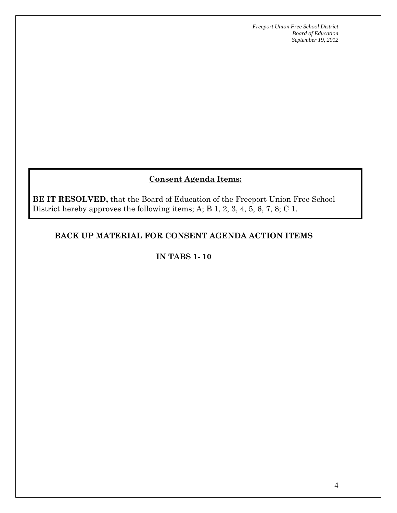## **Consent Agenda Items:**

**BE IT RESOLVED,** that the Board of Education of the Freeport Union Free School District hereby approves the following items; A; B 1, 2, 3, 4, 5, 6, 7, 8; C 1.

#### **BACK UP MATERIAL FOR CONSENT AGENDA ACTION ITEMS**

**IN TABS 1- 10**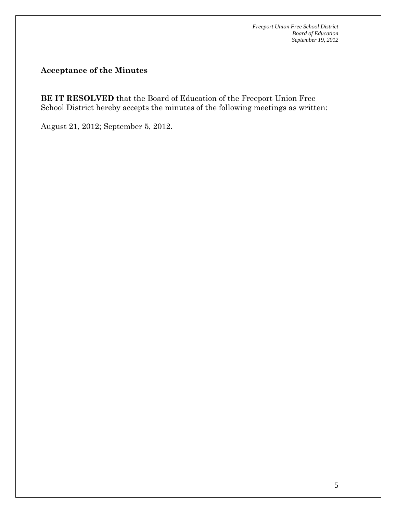**Acceptance of the Minutes** 

**BE IT RESOLVED** that the Board of Education of the Freeport Union Free School District hereby accepts the minutes of the following meetings as written:

August 21, 2012; September 5, 2012.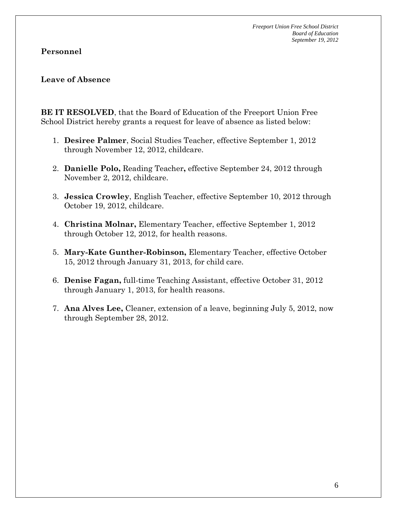#### **Leave of Absence**

**BE IT RESOLVED**, that the Board of Education of the Freeport Union Free School District hereby grants a request for leave of absence as listed below:

- 1. **Desiree Palmer**, Social Studies Teacher, effective September 1, 2012 through November 12, 2012, childcare.
- 2. **Danielle Polo,** Reading Teacher**,** effective September 24, 2012 through November 2, 2012, childcare.
- 3. **Jessica Crowley**, English Teacher, effective September 10, 2012 through October 19, 2012, childcare.
- 4. **Christina Molnar,** Elementary Teacher, effective September 1, 2012 through October 12, 2012, for health reasons.
- 5. **Mary-Kate Gunther-Robinson,** Elementary Teacher, effective October 15, 2012 through January 31, 2013, for child care.
- 6. **Denise Fagan,** full-time Teaching Assistant, effective October 31, 2012 through January 1, 2013, for health reasons.
- 7. **Ana Alves Lee,** Cleaner, extension of a leave, beginning July 5, 2012, now through September 28, 2012.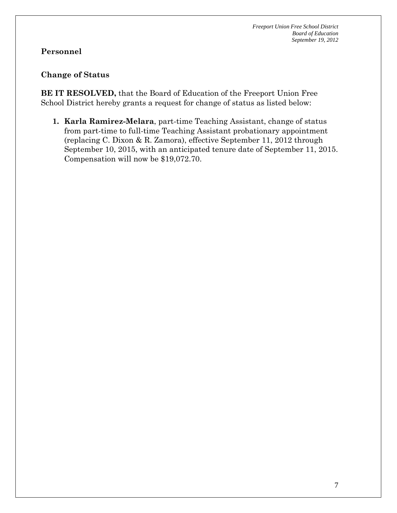#### **Personnel**

#### **Change of Status**

**BE IT RESOLVED,** that the Board of Education of the Freeport Union Free School District hereby grants a request for change of status as listed below:

**1. Karla Ramirez-Melara**, part-time Teaching Assistant, change of status from part-time to full-time Teaching Assistant probationary appointment (replacing C. Dixon & R. Zamora), effective September 11, 2012 through September 10, 2015, with an anticipated tenure date of September 11, 2015. Compensation will now be \$19,072.70.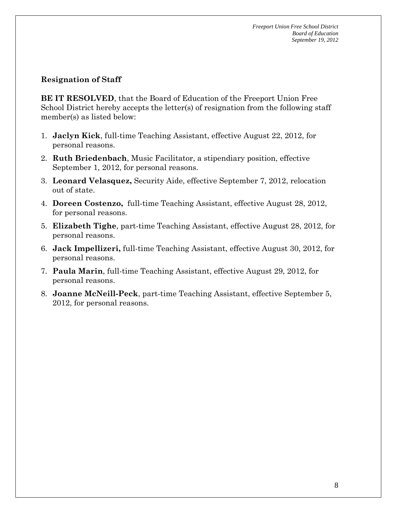#### **Resignation of Staff**

**BE IT RESOLVED**, that the Board of Education of the Freeport Union Free School District hereby accepts the letter(s) of resignation from the following staff member(s) as listed below:

- 1. **Jaclyn Kick**, full-time Teaching Assistant, effective August 22, 2012, for personal reasons.
- 2. **Ruth Briedenbach**, Music Facilitator, a stipendiary position, effective September 1, 2012, for personal reasons.
- 3. **Leonard Velasquez,** Security Aide, effective September 7, 2012, relocation out of state.
- 4. **Doreen Costenzo,** full-time Teaching Assistant, effective August 28, 2012, for personal reasons.
- 5. **Elizabeth Tighe**, part-time Teaching Assistant, effective August 28, 2012, for personal reasons.
- 6. **Jack Impellizeri,** full-time Teaching Assistant, effective August 30, 2012, for personal reasons.
- 7. **Paula Marin**, full-time Teaching Assistant, effective August 29, 2012, for personal reasons.
- 8. **Joanne McNeill-Peck**, part-time Teaching Assistant, effective September 5, 2012, for personal reasons.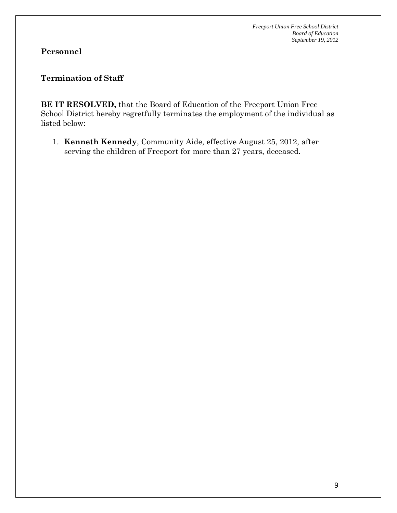## **Personnel**

#### **Termination of Staff**

**BE IT RESOLVED,** that the Board of Education of the Freeport Union Free School District hereby regretfully terminates the employment of the individual as listed below:

1. **Kenneth Kennedy**, Community Aide, effective August 25, 2012, after serving the children of Freeport for more than 27 years, deceased.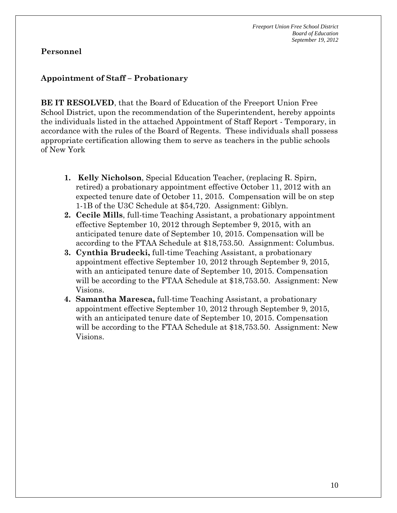#### **Appointment of Staff – Probationary**

**BE IT RESOLVED**, that the Board of Education of the Freeport Union Free School District, upon the recommendation of the Superintendent, hereby appoints the individuals listed in the attached Appointment of Staff Report - Temporary, in accordance with the rules of the Board of Regents. These individuals shall possess appropriate certification allowing them to serve as teachers in the public schools of New York

- **1. Kelly Nicholson**, Special Education Teacher, (replacing R. Spirn, retired) a probationary appointment effective October 11, 2012 with an expected tenure date of October 11, 2015. Compensation will be on step 1-1B of the U3C Schedule at \$54,720. Assignment: Giblyn.
- **2. Cecile Mills**, full-time Teaching Assistant, a probationary appointment effective September 10, 2012 through September 9, 2015, with an anticipated tenure date of September 10, 2015. Compensation will be according to the FTAA Schedule at \$18,753.50. Assignment: Columbus.
- **3. Cynthia Brudecki,** full-time Teaching Assistant, a probationary appointment effective September 10, 2012 through September 9, 2015, with an anticipated tenure date of September 10, 2015. Compensation will be according to the FTAA Schedule at \$18,753.50. Assignment: New Visions.
- **4. Samantha Maresca,** full-time Teaching Assistant, a probationary appointment effective September 10, 2012 through September 9, 2015, with an anticipated tenure date of September 10, 2015. Compensation will be according to the FTAA Schedule at \$18,753.50. Assignment: New Visions.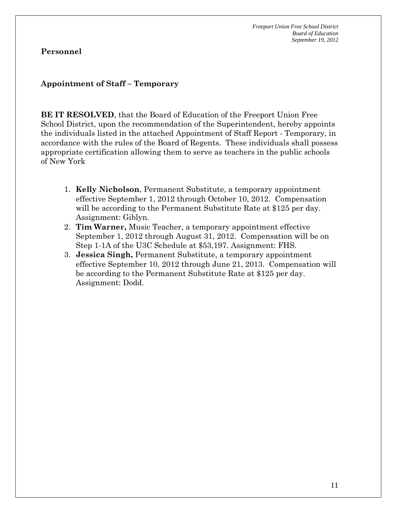#### **Appointment of Staff – Temporary**

**BE IT RESOLVED**, that the Board of Education of the Freeport Union Free School District, upon the recommendation of the Superintendent, hereby appoints the individuals listed in the attached Appointment of Staff Report - Temporary, in accordance with the rules of the Board of Regents. These individuals shall possess appropriate certification allowing them to serve as teachers in the public schools of New York

- 1. **Kelly Nicholson**, Permanent Substitute, a temporary appointment effective September 1, 2012 through October 10, 2012. Compensation will be according to the Permanent Substitute Rate at \$125 per day. Assignment: Giblyn.
- 2. **Tim Warner,** Music Teacher, a temporary appointment effective September 1, 2012 through August 31, 2012. Compensation will be on Step 1-1A of the U3C Schedule at \$53,197. Assignment: FHS.
- 3. **Jessica Singh,** Permanent Substitute, a temporary appointment effective September 10, 2012 through June 21, 2013. Compensation will be according to the Permanent Substitute Rate at \$125 per day. Assignment: Dodd.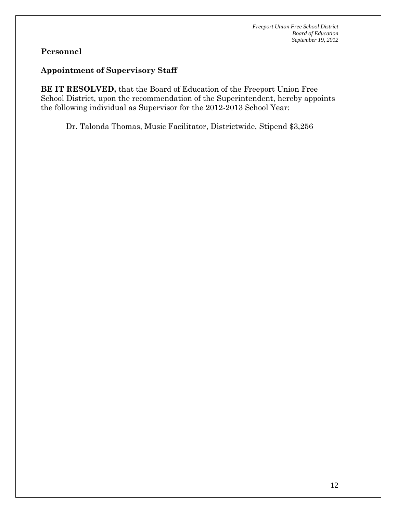#### **Appointment of Supervisory Staff**

**BE IT RESOLVED,** that the Board of Education of the Freeport Union Free School District, upon the recommendation of the Superintendent, hereby appoints the following individual as Supervisor for the 2012-2013 School Year:

Dr. Talonda Thomas, Music Facilitator, Districtwide, Stipend \$3,256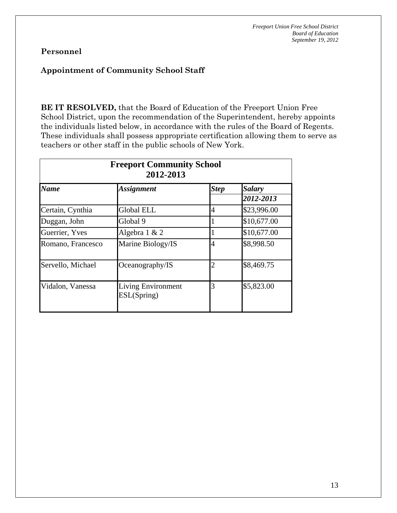#### **Appointment of Community School Staff**

**BE IT RESOLVED,** that the Board of Education of the Freeport Union Free School District, upon the recommendation of the Superintendent, hereby appoints the individuals listed below, in accordance with the rules of the Board of Regents. These individuals shall possess appropriate certification allowing them to serve as teachers or other staff in the public schools of New York.

| <b>Freeport Community School</b><br>2012-2013 |                                          |                |                            |  |  |  |  |
|-----------------------------------------------|------------------------------------------|----------------|----------------------------|--|--|--|--|
| <b>Name</b>                                   | <b>Assignment</b>                        | <b>Step</b>    | <b>Salary</b><br>2012-2013 |  |  |  |  |
| Certain, Cynthia                              | Global ELL                               | $\overline{4}$ | \$23,996.00                |  |  |  |  |
| Duggan, John                                  | Global 9                                 |                | \$10,677.00                |  |  |  |  |
| Guerrier, Yves                                | Algebra $1 & 2$                          |                | \$10,677.00                |  |  |  |  |
| Romano, Francesco                             | Marine Biology/IS                        | $\overline{4}$ | \$8,998.50                 |  |  |  |  |
| Servello, Michael                             | Oceanography/IS                          | $\overline{2}$ | \$8,469.75                 |  |  |  |  |
| Vidalon, Vanessa                              | <b>Living Environment</b><br>ESL(Spring) | 3              | \$5,823.00                 |  |  |  |  |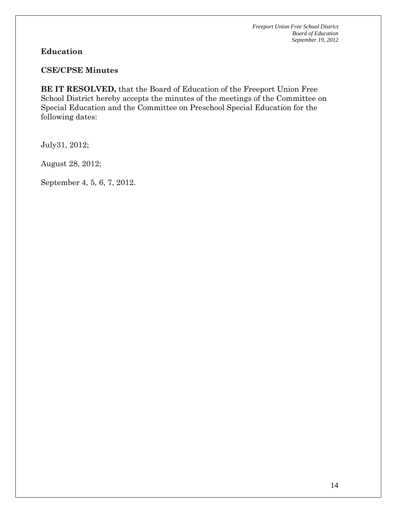#### **CSE/CPSE Minutes**

**BE IT RESOLVED,** that the Board of Education of the Freeport Union Free School District hereby accepts the minutes of the meetings of the Committee on Special Education and the Committee on Preschool Special Education for the following dates:

July31, 2012;

August 28, 2012;

September 4, 5, 6, 7, 2012.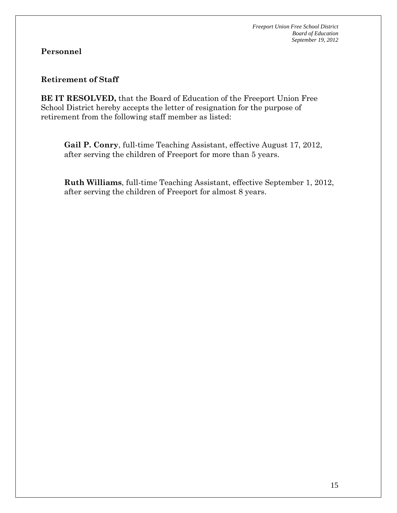#### **Retirement of Staff**

**BE IT RESOLVED,** that the Board of Education of the Freeport Union Free School District hereby accepts the letter of resignation for the purpose of retirement from the following staff member as listed:

**Gail P. Conry**, full-time Teaching Assistant, effective August 17, 2012, after serving the children of Freeport for more than 5 years.

**Ruth Williams**, full-time Teaching Assistant, effective September 1, 2012, after serving the children of Freeport for almost 8 years.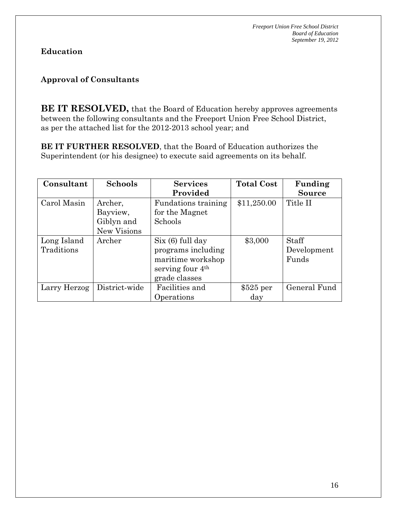## **Approval of Consultants**

**BE IT RESOLVED,** that the Board of Education hereby approves agreements between the following consultants and the Freeport Union Free School District, as per the attached list for the 2012-2013 school year; and

**BE IT FURTHER RESOLVED**, that the Board of Education authorizes the Superintendent (or his designee) to execute said agreements on its behalf.

| Consultant   | <b>Schools</b> | <b>Services</b>              | <b>Total Cost</b> | Funding       |
|--------------|----------------|------------------------------|-------------------|---------------|
|              |                | Provided                     |                   | <b>Source</b> |
| Carol Masin  | Archer,        | Fundations training          | \$11,250.00       | Title II      |
|              | Bayview,       | for the Magnet               |                   |               |
|              | Giblyn and     | Schools                      |                   |               |
|              | New Visions    |                              |                   |               |
| Long Island  | Archer         | Six (6) full day             | \$3,000           | <b>Staff</b>  |
| Traditions   |                | programs including           |                   | Development   |
|              |                | maritime workshop            |                   | Funds         |
|              |                | serving four 4 <sup>th</sup> |                   |               |
|              |                | grade classes                |                   |               |
| Larry Herzog | District-wide  | Facilities and               | $$525$ per        | General Fund  |
|              |                | Operations                   | day               |               |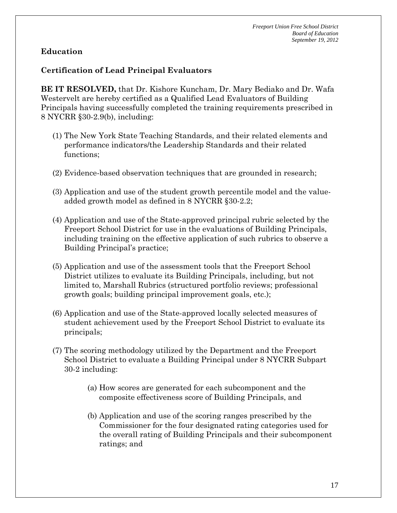#### **Certification of Lead Principal Evaluators**

**BE IT RESOLVED,** that Dr. Kishore Kuncham, Dr. Mary Bediako and Dr. Wafa Westervelt are hereby certified as a Qualified Lead Evaluators of Building Principals having successfully completed the training requirements prescribed in 8 NYCRR §30-2.9(b), including:

- (1) The New York State Teaching Standards, and their related elements and performance indicators/the Leadership Standards and their related functions;
- (2) Evidence-based observation techniques that are grounded in research;
- (3) Application and use of the student growth percentile model and the valueadded growth model as defined in 8 NYCRR §30-2.2;
- (4) Application and use of the State-approved principal rubric selected by the Freeport School District for use in the evaluations of Building Principals, including training on the effective application of such rubrics to observe a Building Principal's practice;
- (5) Application and use of the assessment tools that the Freeport School District utilizes to evaluate its Building Principals, including, but not limited to, Marshall Rubrics (structured portfolio reviews; professional growth goals; building principal improvement goals, etc.);
- (6) Application and use of the State-approved locally selected measures of student achievement used by the Freeport School District to evaluate its principals;
- (7) The scoring methodology utilized by the Department and the Freeport School District to evaluate a Building Principal under 8 NYCRR Subpart 30-2 including:
	- (a) How scores are generated for each subcomponent and the composite effectiveness score of Building Principals, and
	- (b) Application and use of the scoring ranges prescribed by the Commissioner for the four designated rating categories used for the overall rating of Building Principals and their subcomponent ratings; and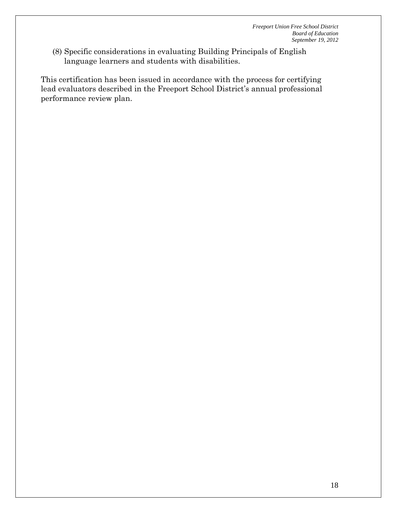(8) Specific considerations in evaluating Building Principals of English language learners and students with disabilities.

This certification has been issued in accordance with the process for certifying lead evaluators described in the Freeport School District's annual professional performance review plan.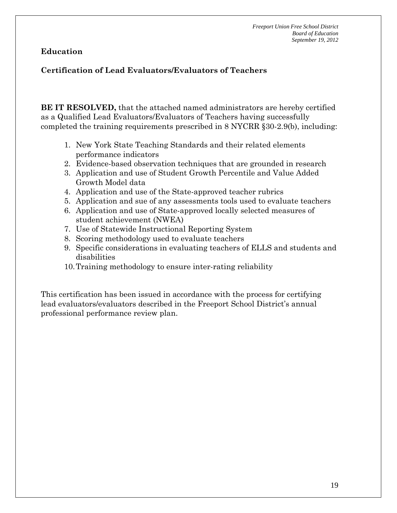# **Certification of Lead Evaluators/Evaluators of Teachers**

**BE IT RESOLVED,** that the attached named administrators are hereby certified as a Qualified Lead Evaluators/Evaluators of Teachers having successfully completed the training requirements prescribed in 8 NYCRR §30-2.9(b), including:

- 1. New York State Teaching Standards and their related elements performance indicators
- 2. Evidence-based observation techniques that are grounded in research
- 3. Application and use of Student Growth Percentile and Value Added Growth Model data
- 4. Application and use of the State-approved teacher rubrics
- 5. Application and sue of any assessments tools used to evaluate teachers
- 6. Application and use of State-approved locally selected measures of student achievement (NWEA)
- 7. Use of Statewide Instructional Reporting System
- 8. Scoring methodology used to evaluate teachers
- 9. Specific considerations in evaluating teachers of ELLS and students and disabilities
- 10.Training methodology to ensure inter-rating reliability

This certification has been issued in accordance with the process for certifying lead evaluators/evaluators described in the Freeport School District's annual professional performance review plan.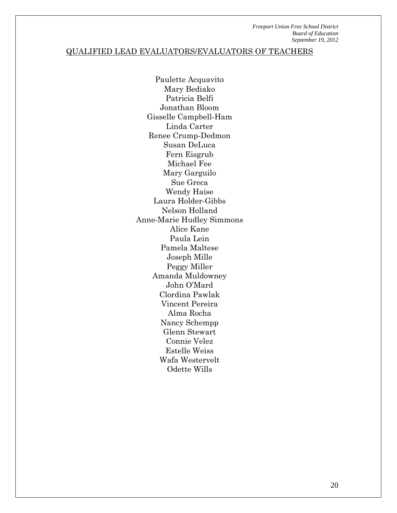#### QUALIFIED LEAD EVALUATORS/EVALUATORS OF TEACHERS

Paulette Acquavito Mary Bediako Patricia Belfi Jonathan Bloom Gisselle Campbell-Ham Linda Carter Renee Crump-Dedmon Susan DeLuca Fern Eisgrub Michael Fee Mary Garguilo Sue Greca Wendy Haise Laura Holder-Gibbs Nelson Holland Anne-Marie Hudley Simmons Alice Kane Paula Lein Pamela Maltese Joseph Mille Peggy Miller Amanda Muldowney John O'Mard Clordina Pawlak Vincent Pereira Alma Rocha Nancy Schempp Glenn Stewart Connie Velez Estelle Weiss Wafa Westervelt Odette Wills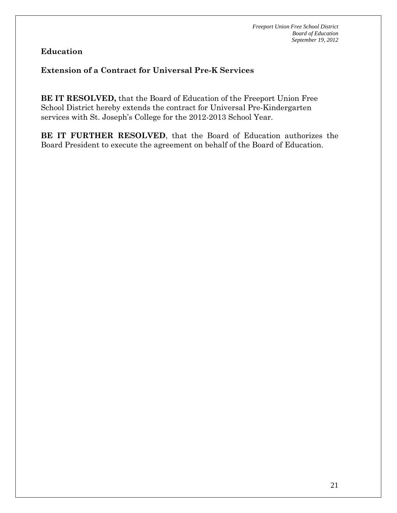#### **Extension of a Contract for Universal Pre-K Services**

**BE IT RESOLVED,** that the Board of Education of the Freeport Union Free School District hereby extends the contract for Universal Pre-Kindergarten services with St. Joseph's College for the 2012-2013 School Year.

**BE IT FURTHER RESOLVED**, that the Board of Education authorizes the Board President to execute the agreement on behalf of the Board of Education.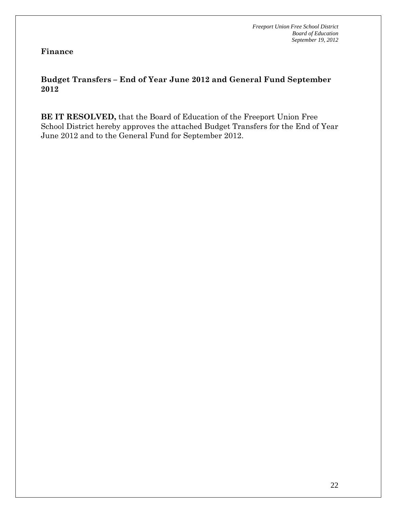**Finance** 

#### **Budget Transfers – End of Year June 2012 and General Fund September 2012**

**BE IT RESOLVED,** that the Board of Education of the Freeport Union Free School District hereby approves the attached Budget Transfers for the End of Year June 2012 and to the General Fund for September 2012.